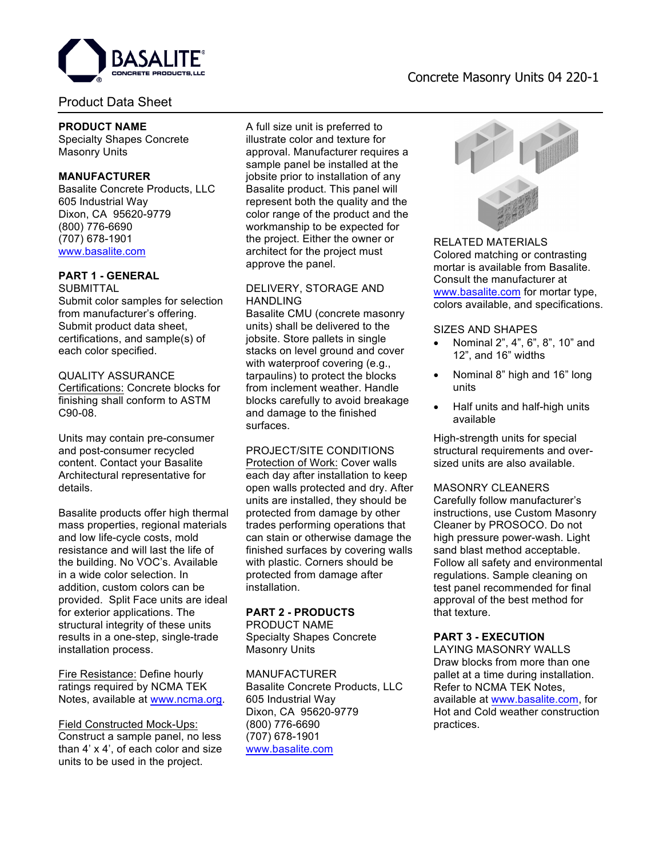

# Product Data Sheet

## **PRODUCT NAME**

Specialty Shapes Concrete Masonry Units

## **MANUFACTURER**

Basalite Concrete Products, LLC 605 Industrial Way Dixon, CA 95620-9779 (800) 776-6690 (707) 678-1901 www.basalite.com

# **PART 1 - GENERAL**

**SUBMITTAL** 

Submit color samples for selection from manufacturer's offering. Submit product data sheet, certifications, and sample(s) of each color specified.

# QUALITY ASSURANCE

Certifications: Concrete blocks for finishing shall conform to ASTM C90-08.

Units may contain pre-consumer and post-consumer recycled content. Contact your Basalite Architectural representative for details.

Basalite products offer high thermal mass properties, regional materials and low life-cycle costs, mold resistance and will last the life of the building. No VOC's. Available in a wide color selection. In addition, custom colors can be provided. Split Face units are ideal for exterior applications. The structural integrity of these units results in a one-step, single-trade installation process.

Fire Resistance: Define hourly ratings required by NCMA TEK Notes, available at www.ncma.org.

## Field Constructed Mock-Ups: Construct a sample panel, no less than 4' x 4', of each color and size units to be used in the project.

A full size unit is preferred to illustrate color and texture for approval. Manufacturer requires a sample panel be installed at the jobsite prior to installation of any Basalite product. This panel will represent both the quality and the color range of the product and the workmanship to be expected for the project. Either the owner or architect for the project must approve the panel.

## DELIVERY, STORAGE AND HANDLING

Basalite CMU (concrete masonry units) shall be delivered to the jobsite. Store pallets in single stacks on level ground and cover with waterproof covering (e.g., tarpaulins) to protect the blocks from inclement weather. Handle blocks carefully to avoid breakage and damage to the finished surfaces.

## PROJECT/SITE CONDITIONS

Protection of Work: Cover walls each day after installation to keep open walls protected and dry. After units are installed, they should be protected from damage by other trades performing operations that can stain or otherwise damage the finished surfaces by covering walls with plastic. Corners should be protected from damage after installation.

## **PART 2 - PRODUCTS**

PRODUCT NAME Specialty Shapes Concrete Masonry Units

#### MANUFACTURER Basalite Concrete Products, LLC

605 Industrial Way Dixon, CA 95620-9779 (800) 776-6690 (707) 678-1901 www.basalite.com



Colored matching or contrasting mortar is available from Basalite. Consult the manufacturer at www.basalite.com for mortar type, colors available, and specifications.

## SIZES AND SHAPES

- Nominal 2", 4", 6", 8", 10" and 12", and 16" widths
- Nominal 8" high and 16" long units
- Half units and half-high units available

High-strength units for special structural requirements and oversized units are also available.

## MASONRY CLEANERS

Carefully follow manufacturer's instructions, use Custom Masonry Cleaner by PROSOCO. Do not high pressure power-wash. Light sand blast method acceptable. Follow all safety and environmental regulations. Sample cleaning on test panel recommended for final approval of the best method for that texture.

## **PART 3 - EXECUTION**

LAYING MASONRY WALLS Draw blocks from more than one pallet at a time during installation. Refer to NCMA TEK Notes, available at www.basalite.com, for Hot and Cold weather construction practices.